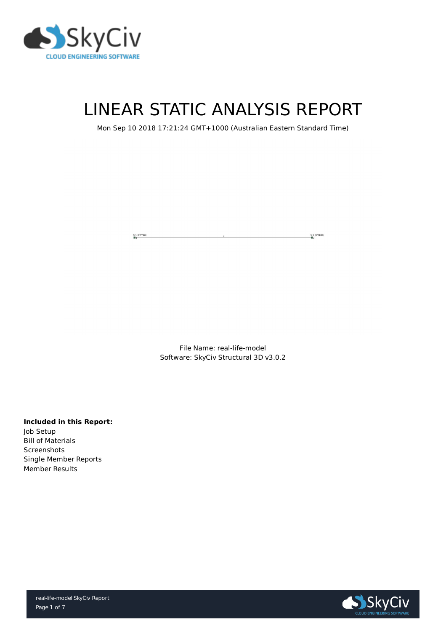



# LINEAR STATIC ANALYSIS REPORT

### Mon Sep 10 2018 17:21:24 GMT+1000 (Australian Eastern Standard Time)

 $S$  2 (RFFRRR)<br> $S$ S 1 (FFFFRR)

> File Name: real-life-model Software: SkyCiv Structural 3D v3.0.2

#### **Included in this Report:**

Job Setup Bill of Materials **Screenshots** Single Member Reports Member Results

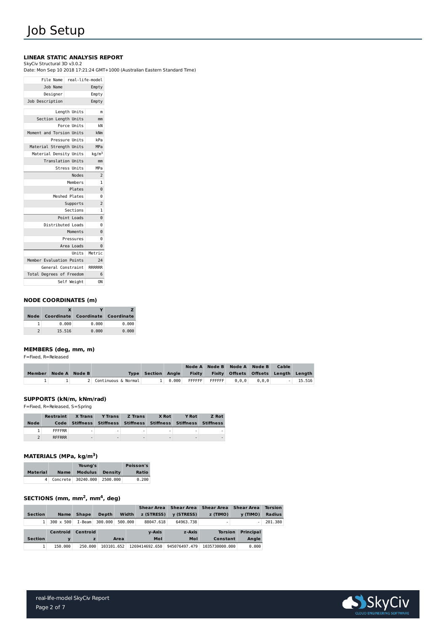

## Job Setup

#### **LINEAR STATIC ANALYSIS REPORT**

#### SkyCiv Structural 3D v3.0.2

Date: Mon Sep 10 2018 17:21:24 GMT+1000 (Australian Eastern Standard Time)

#### **NODE COORDINATES (m)**

| <b>Node</b> |        | Coordinate Coordinate Coordinate |       |
|-------------|--------|----------------------------------|-------|
|             | 0.000  | 0.000                            | 0.000 |
|             | 15.516 | 0.000                            | 0.000 |

#### **MEMBERS (deg, mm, m)**

F=Fixed, R=Released

|                      |  |                       |                           |  |                                                       | Node A Node B Node A Node B                 | <b>Cable</b> |        |
|----------------------|--|-----------------------|---------------------------|--|-------------------------------------------------------|---------------------------------------------|--------------|--------|
| Member Node A Node B |  |                       | <b>Type Section Angle</b> |  |                                                       | Fixity Fixity Offsets Offsets Length Length |              |        |
|                      |  | 2 Continuous & Normal |                           |  | $1 \mid 0.000 \mid$ FFFFFF $\mid$ FFFFFF $\mid$ 0,0,0 | $0,0,0$ .                                   |              | 15.516 |

| real-life-model   |                     | File Name                |
|-------------------|---------------------|--------------------------|
| Empty             |                     | Job Name                 |
| Empty             |                     | Designer                 |
| Empty             |                     | Job Description          |
|                   |                     |                          |
| m                 | Length Units        |                          |
| mm                |                     | Section Length Units     |
| <b>kN</b>         | <b>Force Units</b>  |                          |
| kNm               |                     | Moment and Torsion Units |
| kPa               | Pressure Units      |                          |
| <b>MPa</b>        |                     | Material Strength Units  |
| kg/m <sup>3</sup> |                     | Material Density Units   |
| mm                |                     | <b>Translation Units</b> |
| <b>MPa</b>        | <b>Stress Units</b> |                          |
| $\overline{2}$    | <b>Nodes</b>        |                          |
| $\overline{1}$    | Members             |                          |
| $\Theta$          | Plates              |                          |
| $\Theta$          | Meshed Plates       |                          |
| $\overline{2}$    | Supports            |                          |
| $\overline{1}$    | Sections            |                          |
| $\Theta$          | Point Loads         |                          |
| $\Theta$          |                     | Distributed Loads        |
| 0                 | Moments             |                          |
| 0                 | Pressures           |                          |
| 0                 | Area Loads          |                          |
| Metric            | Units               |                          |
| 24                |                     | Member Evaluation Points |
| <b>RRRRRR</b>     |                     | General Constraint       |
| 6                 |                     | Total Degrees of Freedom |
| 0N                | Self Weight         |                          |
|                   |                     |                          |

#### **SUPPORTS (kN/m, kNm/rad)**

F=Fixed, R=Released, S=Spring

|             | <b>Restraint</b> | <b>X</b> Trans           | <b>Y</b> Trans | <b>Z</b> Trans | <b>X</b> Rot             | <b>Y Rot</b>                                                     | <b>Z</b> Rot |
|-------------|------------------|--------------------------|----------------|----------------|--------------------------|------------------------------------------------------------------|--------------|
| <b>Node</b> |                  |                          |                |                |                          | Code Stiffness Stiffness Stiffness Stiffness Stiffness Stiffness |              |
|             | <b>FFFFRR</b>    |                          |                |                |                          | -                                                                |              |
|             | <b>RFFRRR</b>    | $\overline{\phantom{0}}$ |                |                | $\overline{\phantom{0}}$ | $\overline{\phantom{0}}$                                         |              |

|                 |             | Young's                     | <b>Poisson's</b> |
|-----------------|-------------|-----------------------------|------------------|
| <b>Material</b> | <b>Name</b> | <b>Modulus Density</b>      | <b>Ratio</b>     |
|                 |             | Concrete 30240.000 2500.000 | 0.200            |

#### **SECTIONS** (mm, mm<sup>2</sup>, mm<sup>4</sup>, deg)

#### **MATERIALS (MPa, kg/m ) 3**

|                |                  |                 |            |             | <b>Shear Area</b> | <b>Shear Area</b> | <b>Shear Area</b> | <b>Shear Area</b> | <b>Torsion</b> |
|----------------|------------------|-----------------|------------|-------------|-------------------|-------------------|-------------------|-------------------|----------------|
| <b>Section</b> | <b>Name</b>      | <b>Shape</b>    | Depth      | Width       | z (STRESS)        | <b>v</b> (STRESS) | z (TIMO)          | y (TIMO)          | <b>Radius</b>  |
| 1 <sup>1</sup> | $300 \times 500$ | I-Beam          | 300.000    | 500,000     | 88047.618         | 64963.738         |                   |                   | 201.380        |
|                | <b>Centroid</b>  | <b>Centroid</b> |            |             | <b>v-Axis</b>     | z-Axis            | <b>Torsion</b>    | <b>Principal</b>  |                |
| <b>Section</b> |                  | z               |            | <b>Area</b> | Mol               | Mol               | <b>Constant</b>   | <b>Angle</b>      |                |
|                | 150,000          | 250,000         | 103101.652 |             | 1269414692.650    | 945076497.479     | 1035730000.000    | 0.000             |                |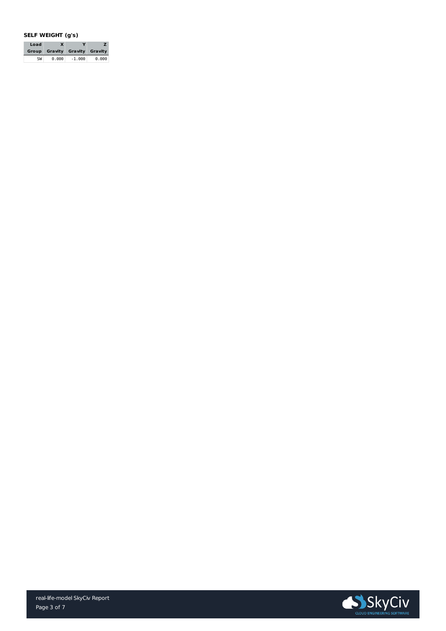

#### **SELF WEIGHT (g's)**

| Load | $\bm{X}$                             | Y        |       |
|------|--------------------------------------|----------|-------|
|      | <b>Group Gravity Gravity Gravity</b> |          |       |
| SW   | 0.000                                | $-1.000$ | 0.000 |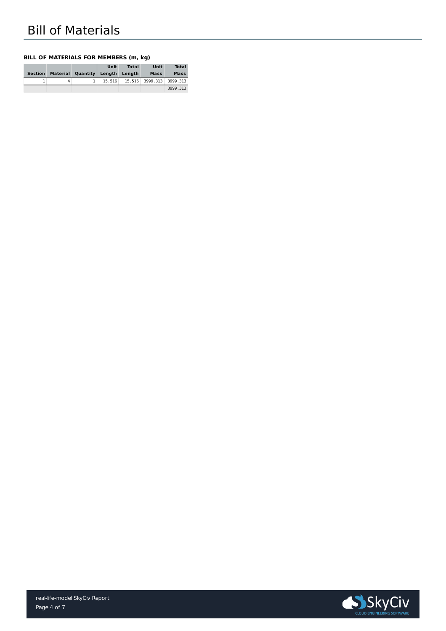

#### **BILL OF MATERIALS FOR MEMBERS (m, kg)**

|                |   |                                 | Unit | <b>Total</b> | Unit                              | <b>Total</b> |
|----------------|---|---------------------------------|------|--------------|-----------------------------------|--------------|
| <b>Section</b> |   | Material Quantity Length Length |      |              | <b>Mass</b>                       | <b>Mass</b>  |
|                | 4 | 1 <sup>1</sup>                  |      |              | $15.516$ 15.516 3999.313 3999.313 |              |
|                |   |                                 |      |              |                                   | 3999.313     |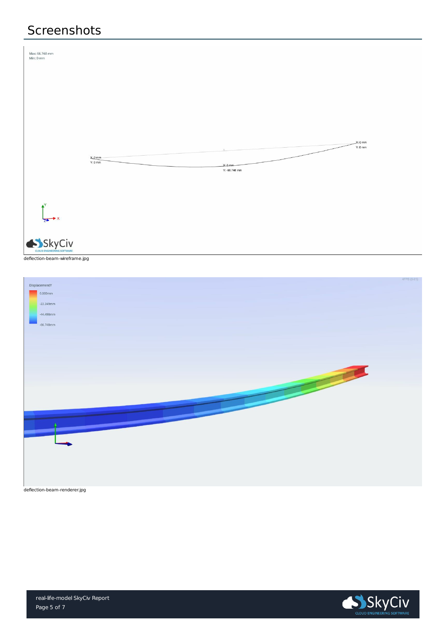

### Screenshots



deflection-beam-wireframe.jpg

|               | 4FPS (0-2 |
|---------------|-----------|
| DisplacementY |           |
| $0.000$ mm    |           |



deflection-beam-renderer.jpg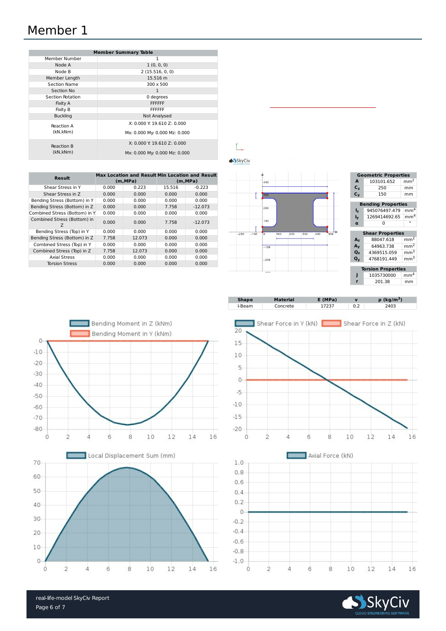real-life-model SkyCiv Report



### Member 1

| <b>Member Summary Table</b> |                               |  |  |  |  |
|-----------------------------|-------------------------------|--|--|--|--|
| Member Number               | 1                             |  |  |  |  |
| Node A                      | 1(0, 0, 0)                    |  |  |  |  |
| Node B                      | 2(15.516, 0, 0)               |  |  |  |  |
| Member Length               | 15.516 m                      |  |  |  |  |
| <b>Section Name</b>         | 300 x 500                     |  |  |  |  |
| <b>Section No</b>           | 1                             |  |  |  |  |
| <b>Section Rotation</b>     | 0 degrees                     |  |  |  |  |
| <b>Fixity A</b>             | <b>FFFFFF</b>                 |  |  |  |  |
| <b>Fixity B</b>             | <b>FFFFFF</b>                 |  |  |  |  |
| <b>Buckling</b>             | <b>Not Analysed</b>           |  |  |  |  |
| <b>Reaction A</b>           | X: 0.000 Y: 19.610 Z: 0.000   |  |  |  |  |
| (kN, kNm)                   | Mx: 0.000 My: 0.000 Mz: 0.000 |  |  |  |  |
| <b>Reaction B</b>           | X: 0.000 Y: 19.610 Z: 0.000   |  |  |  |  |
| (kN, kNm)                   | Mx: 0.000 My: 0.000 Mz: 0.000 |  |  |  |  |

|                                  | <b>Max Location and Result Min Location and Result</b> |          |          |           |  |  |
|----------------------------------|--------------------------------------------------------|----------|----------|-----------|--|--|
| <b>Result</b>                    |                                                        | (m, MPa) | (m, MPa) |           |  |  |
| Shear Stress in Y                | 0.000                                                  | 0.223    | 15.516   | $-0.223$  |  |  |
| Shear Stress in Z                | 0.000                                                  | 0.000    | 0.000    | 0.000     |  |  |
| Bending Stress (Bottom) in Y     | 0.000                                                  | 0.000    | 0.000    | 0.000     |  |  |
| Bending Stress (Bottom) in Z     | 0.000                                                  | 0.000    | 7.758    | $-12.073$ |  |  |
| Combined Stress (Bottom) in Y    | 0.000                                                  | 0.000    | 0.000    | 0.000     |  |  |
| Combined Stress (Bottom) in<br>Ζ | 0.000                                                  | 0.000    | 7.758    | $-12.073$ |  |  |
| Bending Stress (Top) in Y        | 0.000                                                  | 0.000    | 0.000    | 0.000     |  |  |
| Bending Stress (Bottom) in Z     | 7.758                                                  | 12.073   | 0.000    | 0.000     |  |  |
| Combined Stress (Top) in Y       | 0.000                                                  | 0.000    | 0.000    | 0.000     |  |  |
| Combined Stress (Top) in Z       | 7.758                                                  | 12.073   | 0.000    | 0.000     |  |  |
| <b>Axial Stress</b>              | 0.000                                                  | 0.000    | 0.000    | 0.000     |  |  |
| <b>Torsion Stress</b>            | 0.000                                                  | 0.000    | 0.000    | 0.000     |  |  |





| <b>Geometric Properties</b> |            |                 |  |  |  |  |
|-----------------------------|------------|-----------------|--|--|--|--|
| A                           | 103101.652 | mm <sup>2</sup> |  |  |  |  |
| $C_z$                       | 250        | mm              |  |  |  |  |
| $\mathsf{C}_{\mathsf{v}}$   | 150        | mm              |  |  |  |  |
|                             |            |                 |  |  |  |  |

| <b>Bending Properties</b> |                                 |  |  |  |  |
|---------------------------|---------------------------------|--|--|--|--|
| $I_{\mathbf{z}}$          | $945076497.479$ mm <sup>4</sup> |  |  |  |  |
| $I_{\mathbf{V}}$          | $1269414692.65$ mm <sup>4</sup> |  |  |  |  |
| $\mathbf u$               | 0                               |  |  |  |  |

| <b>Shear Properties</b>   |             |                 |  |  |  |
|---------------------------|-------------|-----------------|--|--|--|
| $A_{z}$                   | 88047.618   | mm <sup>2</sup> |  |  |  |
| $A_{\rm V}$               | 64963.738   | mm <sup>2</sup> |  |  |  |
| $Q_{z}$                   | 4369515.059 | mm <sup>3</sup> |  |  |  |
| $\mathbf{Q}_{\mathbf{v}}$ | 4768191.449 | mm <sup>3</sup> |  |  |  |

| <b>Torsion Properties</b> |            |                 |  |  |  |
|---------------------------|------------|-----------------|--|--|--|
|                           | 1035730000 | mm <sup>4</sup> |  |  |  |
|                           | 201.38     | mm              |  |  |  |

| <b>Shape</b><br>E(MPa)<br><b>Material</b> | $\rho$ (kg/m <sup>3</sup> ) |
|-------------------------------------------|-----------------------------|
|-------------------------------------------|-----------------------------|